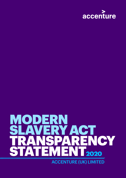

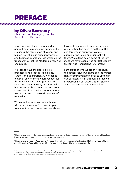## PREFACE

### by Oliver Benzecry

Chairman and Managing Director, Accenture (UK) Limited

Accenture maintains a long-standing commitment to respecting human rights, including the elimination of slavery and human trafficking<sup>1</sup> in our supply chains and business operations. We welcome the transparency that the Modern Slavery Act encourages.

We seek to have the right policies, processes and procedures in place. Further, and as importantly, we seek to foster an environment where respect for the individual and their rights is a core value. We encourage any individual who has concerns about unethical behaviour in any part of our business or operations to speak up and to do so without fear of retaliation.

While much of what we do in this area will remain the same from year to year, we cannot be complacent and are always looking to improve. As in previous years, our intention has been to be thoughtful and targeted in our reviews of our suppliers and in our engagement with them. We outline below some of the key steps we have taken since our last Modern Slavery Act Transparency Statement.

I am proud of who we are at Accenture, the ethical values we share and the human rights commitments we seek to uphold in our business. It is in this context that we are publishing our 2020 Modern Slavery Act Transparency Statement below.

This statement sets out the steps Accenture is taking to ensure that slavery and human trafficking are not taking place in any of our supply chains or in any part of our own business.

This statement is made by Accenture UK<sup>2</sup> in accordance with the requirements of section 54(2) of the Modern Slavery Act 2015 and the Modern Slavery Act 2015 (Transparency in Supply Chains) Regulations 2015.

<sup>1.</sup> In this statement, when we refer to 'slavery and human trafficking,' this includes modern slavery, servitude, forced or compulsory labour and human<br>trafficking, as each of these terms is explained or defined in the Mode

<sup>2.</sup> In this statement, references to 'Accenture UK' mean Accenture (UK) Limited.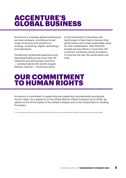### ACCENTURE'S GLOBAL BUSINESS

Accenture is a leading global professional services company, providing a broad range of services and solutions in strategy, consulting, digital, technology and operations.

Combining unmatched experience and specialized skills across more than 40 industries and all business functions — underpinned by the world's largest delivery network — Accenture works

at the intersection of business and technology to help clients improve their performance and create sustainable value for their stakeholders. With 505,000 people serving clients in more than 120 countries, Accenture drives innovation to improve the way the world works and lives.

### OUR COMMITMENT TO HUMAN RIGHTS

Accenture is committed to supporting and respecting internationally proclaimed human rights. As a signatory to the United Nations Global Compact since 2008, we adhere to the 10 Principles of the Global Compact and to the United Nations Guiding Principles.3

3. In this statement, when we refer to the 'UN Guiding Principles' this means the United Nations Guiding Principles on Business and Human Rights.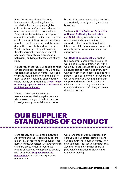Accenture's commitment to doing business ethically and legally is the foundation for the company's global culture. Accenture's culture is shaped by our core values, and our core value of 'Respect for the Individual' underpins our commitment to the elimination of slavery and human trafficking. We expect all our people to treat each other, and those we deal with, respectfully and with dignity. We do not tolerate physical violence, threats, corporal punishment, mental coercion, verbal abuse, disrespectful behaviour, bullying or harassment of any kind.

We actively encourage our people to raise ethical and legal concerns, including any concerns about human rights issues, and we make multiple channels available for them to do so—including anonymously, where legally permitted. See **Global Policy** [on Raising Legal and Ethical Concerns and](https://www.accenture.com/_acnmedia/PDF-71/Accenture-Raising-Legal-and-Ethical-Concerns-and-Prohibiting-Retaliation.pdf)  [Prohibiting Retaliation.](https://www.accenture.com/_acnmedia/PDF-71/Accenture-Raising-Legal-and-Ethical-Concerns-and-Prohibiting-Retaliation.pdf) 

We also stress that we have zero tolerance for retaliation against anyone who speaks up in good faith. Accenture investigates any potential human rights

breach it becomes aware of, and seeks to appropriately remedy or mitigate those breaches.

We have a **Global Policy on Prohibition** [of Human Trafficking Forced Labor](https://www.accenture.com/_acnmedia/PDF-71/Accenture-Prohibition-on-Human-Trafficking-Forced-Labor-and-Child-Labor.pdf)  [and Child Labor](https://www.accenture.com/_acnmedia/PDF-71/Accenture-Prohibition-on-Human-Trafficking-Forced-Labor-and-Child-Labor.pdf) expressly prohibiting our employees from engaging in or supporting human trafficking, forced labour and child labour in connection with Accenture's activities, including in our supply chains.

Our **[Code of Business Ethics](https://www.accenture.com/ie-en/company-ethics-code)**, applies to all Accenture employees around the world and provides a framework within which our people make ethical behaviour a natural part of what we do every day with each other, our clients and business partners, and our communities where we work and live: our Code highlights our support and respect for human rights, which includes helping to eliminate slavery and human trafficking wherever these may occur.

## OUR SUPPLIER STANDARDS OF CONDUCT

More broadly, the relationship between Accenture and our Accenture suppliers is a critical component of our support for human rights. Consistent with Accenture's standard procurement process, we require all Accenture suppliers to comply with our global **Supplier Standards** [of Conduct](https://www.accenture.com/t20181016T022126Z__w__/us-en/_acnmedia/PDF-58/Accenture-Supplier-Standards-of-Conduct-Final-EN.pdf) or to make an equivalent commitment.

Our Standards of Conduct reflect our core values, our ethical principles and our commitment to human rights. They set out clearly the labour standards that Accenture suppliers must adhere to, particularly in relation to slavery and human trafficking.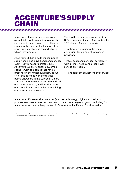### ACCENTURE'S SUPPLY **CHAIN**

Accenture UK currently assesses our overall risk profile in relation to Accenture suppliers<sup>4</sup> by referencing several factors, including the geographic location of the Accenture supplier and the industry in which they operate.

Accenture UK has a multi-million pound supply chain and buys goods and services every year from approximately 1850 Accenture suppliers: about 94% of this spend is with companies that have a presence in the United Kingdom, about 5% of this spend is with companies based elsewhere in the European Union/ European Economic Area and Switzerland or in North America, and less than 1% of our spend is with companies in remaining countries around the world.

The top three categories of Accenture UK's procurement spend (accounting for 70% of our UK spend) comprise:

• Contractors (including the use of contingent labour and other service providers).

• Travel costs and services (particularly with airlines, hotels and other travel service providers).

• IT and telecom equipment and services.

Accenture UK also receives services (such as technology, digital and business process services) from other members of the Accenture global group, including from Accenture's service delivery centres in Europe, Asia Pacific and South America.

<sup>4.</sup> In this statement, an 'Accenture supplier' means a third-party supplier with whom Accenture has a direct and enduring contractual relationship through our procurement function (excluding Accenture group companies).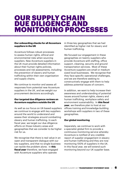### **OUR SUPPLY CHAIN** DUE DILIGENCE AND MONITORING PROCESSES

#### **Our onboarding checks for all Accenture suppliers in the UK**

Accenture follows robust processes to assess human rights, ethical and environmental risks when sourcing suppliers. New Accenture suppliers in the UK must provide detailed information about their human rights policies, processes and risk assessments, including the prevention of slavery and human trafficking within their own organisation and supply chains.

We continue to monitor and assess all responses from potential new Accenture suppliers in the UK, and we weight our procurement decisions accordingly.

#### **Our targeted due diligence reviews on Accenture suppliers outside the UK**

As well as our focus on UK-based suppliers we continue to engage with key suppliers around the world to understand and assess their strategies around combatting slavery and human trafficking. In each fiscal year, we target our due diligence efforts on those industry areas and geographies that we consider to be higher risk for us.

We recognise that there is real value in an open and transparent dialogue with our key suppliers, and that no single business can tackle the problem alone. In **this fiscal year** therefore, we have engaged with Accenture suppliers who operate

in three key geographies that we had identified as higher risk for slavery and human trafficking.

We focused our engagement in these geographies on twenty suppliers who provide Accenture with staffing, office support, cleaning, security and ground transportation services. Most of these Accenture suppliers are small or medium sized local businesses. We recognise that they face specific operational challenges, and we are therefore seeking to constructively engage with them to help address potential issues of concern.

In addition, we want to help increase their awareness and understanding of potential issues around human rights, slavery and human trafficking, workplace safety and environment sustainability. In **this fiscal year**, we therefore plan to host at our offices training and knowledge-building workshops with suppliers in two of these geographies.

#### **Our global monitoring**

Separately, we continue to work with a specialist global firm to provide a continuous monitoring service whereby Accenture is notified of any credible report of supplier engagement in slavery and human trafficking and they are now monitoring 100% of suppliers in the UK. In this fiscal year, we will extend such monitoring beyond our UK supplier base.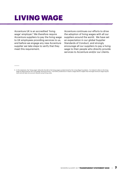## LIVING WAGE

Accenture UK is an accredited 'living wage' employer.<sup>5</sup> We therefore require Accenture suppliers to pay the living wage to UK employees providing services to us, and before we engage any new Accenture supplier we take steps to verify that they meet this requirement.

Accenture continues our efforts to drive the adoption of living wages with all our suppliers around the world. We have set an expectation in our global Supplier Standards of Conduct, and strongly encourage all our suppliers to pay a living wage to their people who directly provide services to Accenture and/or our clients.

<sup>5.</sup> In this statement, the "living wage" refers (for the UK) to the living wages as determined by the Living Wage Foundation. For Ireland it refers to the living<br>wage as determined by the Living Wage as determined by the Li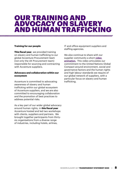### OUR TRAINING AND ADVOCACY ON SLAVERY AND HUMAN TRAFFICKING

#### **Training for our people**

**This fiscal year**, we provided training on slavery and human trafficking to our global Accenture Procurement team (not only the UK Procurement team) responsible for sourcing and contracting with Accenture suppliers.

#### **Advocacy and collaboration within our ecosystem**

Accenture is committed to advocating awareness of slavery and human trafficking within our global ecosystem of Accenture suppliers, and we are also committed to encouraging collaboration and the promotion of best practices to address potential risks.

As a key part of our wider global advocacy around human rights, in **this fiscal year** Accenture hosted and led two workshops with clients, suppliers and partners. We brought together participants from thirtysix organisations from a diverse range of industries, including hotels, airlines,

IT and office equipment suppliers and staffing agencies.

We also continue to share with our supplier community a short video [animation.](https://youtu.be/JKcGM_e6gOI) This video articulates our commitment to the United Nations Global Compact around environment, social and governance factors and the human rights and high labour standards we require of our global network of suppliers, with a particular focus on slavery and human trafficking.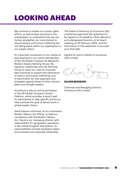# LOOKING AHEAD

We continue to review our human rights efforts, as well as best practices in the marketplace, to understand how we can further strengthen our commitment to ensure slavery and human trafficking are not taking place within our organisation or our supply chains.

An important component of our review of best practices is our active membership of the UN Global Compact UK Network's Modern Slavery Working Group. We regularly collaborate with this Working Group to share our view of corporate best practices to support the elimination of slavery and human trafficking, and to benchmark our own approach and strategies against those of other industry peers and thought leaders.

Accenture is also an active participant in the UN Global Compact's Action Platform, which provides a launch pad for participants to take specific actions to help promote the goal of decent work in global supply chains.

David Sawyer continues, as our nominated Modern Slavery Act Officer, to lead our compliance with the Modern Slavery Act. David is our managing director with responsibility for geographic operations in the United Kingdom and Ireland; his responsibilities include workplace safety, procurement and corporate citizenship.

The board of directors of Accenture (UK) Limited has approved this statement to be signed on its behalf by Oliver Benzecry as its designated director, at its board meeting on 25 February 2020, and the information in this statement is accurate as at that date.

Signed for and on behalf of Accenture (UK) Limited

**OLIVER BENZECRY**

Chairman and Managing Director, Accenture (UK) Limited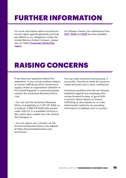# FURTHER INFORMATION

For more information about Accenture's human rights agenda generally and how we adhere to our obligations under the United Nations Global Compact, please see our latest **[Corporate Citizenship](https://www.accenture.com/_acnmedia/Accenture/Redesign-Assets/DotCom/Documents/Global/1/Accenture-Corporate-Citizenship-Report-2018.pdf#zoom=50)** [report](https://www.accenture.com/_acnmedia/Accenture/Redesign-Assets/DotCom/Documents/Global/1/Accenture-Corporate-Citizenship-Report-2018.pdf#zoom=50).

Our Modern Slavery Act statements from [2017](https://www.accenture.com/_acnmedia/PDF-104/Accenture-Modern-Slavery-Act-Statement-2017-Updated), [2018](https://www.accenture.com/_acnmedia/PDF-104/Accenture-Modern-Slavery-Act-Transparency-Statement-2018-Updated) and [2019](https://www.accenture.com/_acnmedia/PDF-44/Accenture-Modern-Slavery-Act-Statement-Final.pdf) are also available.

## RAISING CONCERNS

If you have any questions about this statement, or any concerns about slavery or human trafficking within Accenture's supply chains or organisation (whether in the United Kingdom or overseas) please contact the Accenture Business Ethics Line:

• You can call the Accenture Business Ethics Line globally at +1 312 737 8262; or in India at +1 888 276 6226 with access code: 000-117. It is available 24 hours a day, seven days a week (you can reverse the charges); or

• You can report your concern via the Accenture Business Ethics Line website at https://businessethicsline.com/ accenture/.

You can raise concerns anonymously, if you prefer. Accenture treats all concerns raised seriously and in strict confidence.

Accenture prohibits and will not tolerate retaliation against any employee who comes forward to raise, in good faith, a concern about slavery or human trafficking or who assists us, or a law enforcement authority, by providing information to address such a concern.